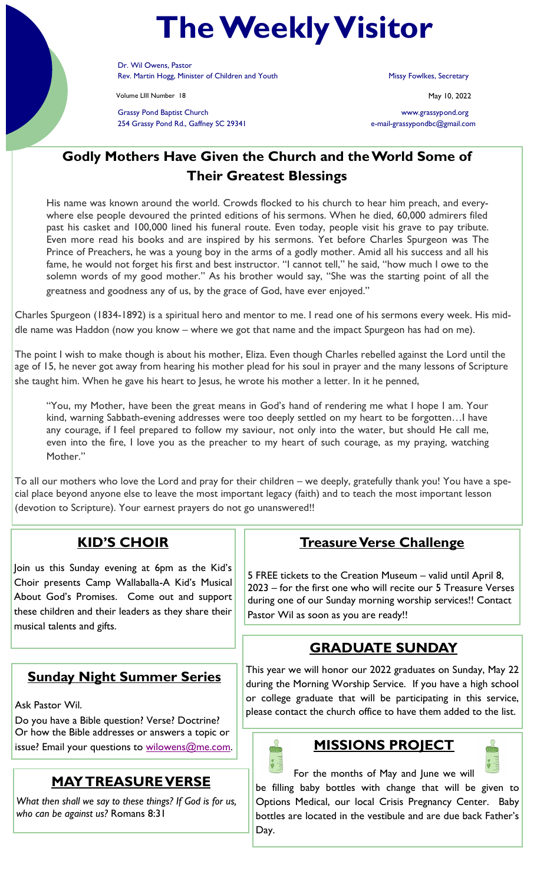# **The Weekly Visitor**

Dr. Wil Owens, Pastor Rev. Martin Hogg, Minister of Children and Youth Missy Fowlkes, Secretary

Volume LIII Number 18 May 10, 2022

Grassy Pond Baptist Church www.grassypond.org 254 Grassy Pond Rd., Gaffney SC 29341 e-mail-grassypondbc@gmail.com

## **Godly Mothers Have Given the Church and the World Some of Their Greatest Blessings**

His name was known around the world. Crowds flocked to his church to hear him preach, and everywhere else people devoured the printed editions of his sermons. When he died, 60,000 admirers filed past his casket and 100,000 lined his funeral route. Even today, people visit his grave to pay tribute. Even more read his books and are inspired by his sermons. Yet before Charles Spurgeon was The Prince of Preachers, he was a young boy in the arms of a godly mother. Amid all his success and all his fame, he would not forget his first and best instructor. "I cannot tell," he said, "how much I owe to the solemn words of my good mother." As his brother would say, "She was the starting point of all the greatness and goodness any of us, by the grace of God, have ever enjoyed."

Charles Spurgeon (1834-1892) is a spiritual hero and mentor to me. I read one of his sermons every week. His middle name was Haddon (now you know – where we got that name and the impact Spurgeon has had on me).

The point I wish to make though is about his mother, Eliza. Even though Charles rebelled against the Lord until the age of 15, he never got away from hearing his mother plead for his soul in prayer and the many lessons of Scripture she taught him. When he gave his heart to Jesus, he wrote his mother a letter. In it he penned,

"You, my Mother, have been the great means in God's hand of rendering me what I hope I am. Your kind, warning Sabbath-evening addresses were too deeply settled on my heart to be forgotten…I have any courage, if I feel prepared to follow my saviour, not only into the water, but should He call me, even into the fire, I love you as the preacher to my heart of such courage, as my praying, watching Mother."

To all our mothers who love the Lord and pray for their children – we deeply, gratefully thank you! You have a special place beyond anyone else to leave the most important legacy (faith) and to teach the most important lesson (devotion to Scripture). Your earnest prayers do not go unanswered!!

### **KID'S CHOIR**

Join us this Sunday evening at 6pm as the Kid's Choir presents Camp Wallaballa-A Kid's Musical About God's Promises. Come out and support these children and their leaders as they share their musical talents and gifts.

### **Sunday Night Summer Series**

Ask Pastor Wil.

Do you have a Bible question? Verse? Doctrine? Or how the Bible addresses or answers a topic or issue? Email your questions to [wilowens@me.com.](mailto:wilowens@me.com)

### **MAY TREASURE VERSE**

*What then shall we say to these things? If God is for us, who can be against us?* Romans 8:31

### **Treasure Verse Challenge**

5 FREE tickets to the Creation Museum – valid until April 8, 2023 – for the first one who will recite our 5 Treasure Verses during one of our Sunday morning worship services!! Contact Pastor Wil as soon as you are ready!!

### **GRADUATE SUNDAY**

This year we will honor our 2022 graduates on Sunday, May 22 during the Morning Worship Service. If you have a high school or college graduate that will be participating in this service, please contact the church office to have them added to the list.



# **MISSIONS PROJECT**



For the months of May and June we will be filling baby bottles with change that will be given to Options Medical, our local Crisis Pregnancy Center. Baby bottles are located in the vestibule and are due back Father's Day.